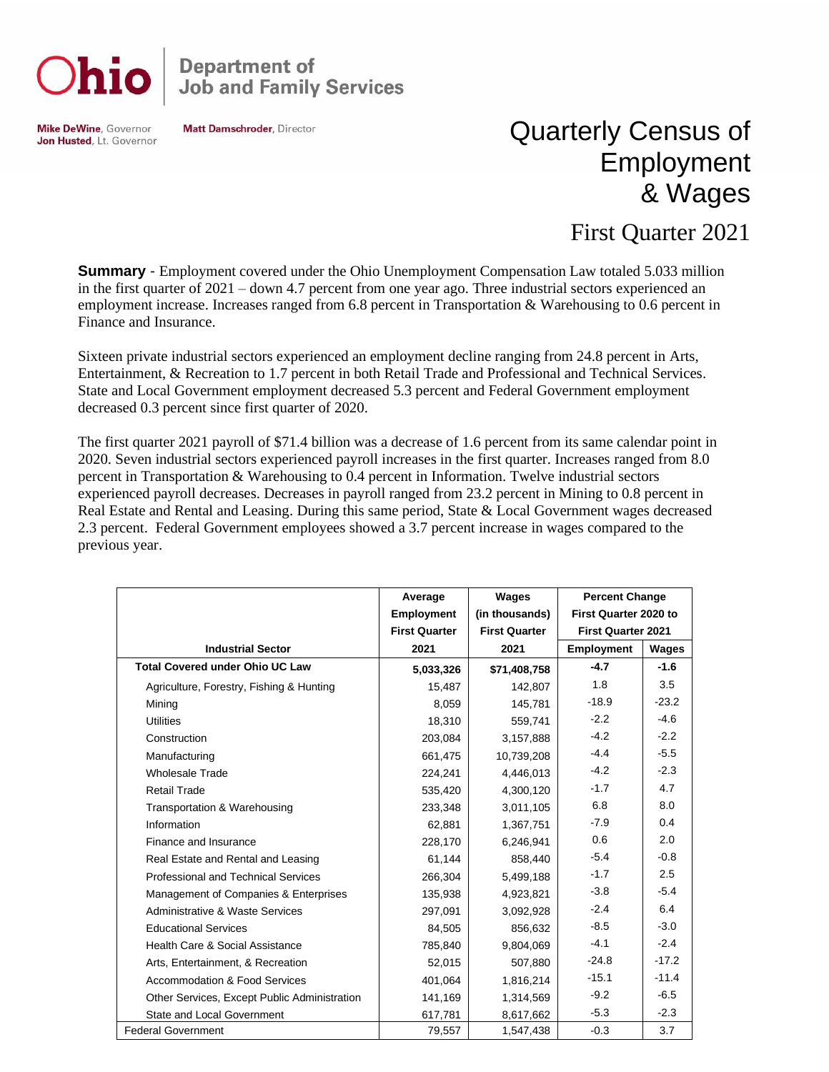

**Department of<br>Job and Family Services** 

**Mike DeWine, Governor** Jon Husted, Lt. Governor **Matt Damschroder, Director** 

## Quarterly Census of Employment & Wages

## First Quarter 2021

**Summary** - Employment covered under the Ohio Unemployment Compensation Law totaled 5.033 million in the first quarter of 2021 – down 4.7 percent from one year ago. Three industrial sectors experienced an employment increase. Increases ranged from 6.8 percent in Transportation & Warehousing to 0.6 percent in Finance and Insurance.

Sixteen private industrial sectors experienced an employment decline ranging from 24.8 percent in Arts, Entertainment, & Recreation to 1.7 percent in both Retail Trade and Professional and Technical Services. State and Local Government employment decreased 5.3 percent and Federal Government employment decreased 0.3 percent since first quarter of 2020.

The first quarter 2021 payroll of \$71.4 billion was a decrease of 1.6 percent from its same calendar point in 2020. Seven industrial sectors experienced payroll increases in the first quarter. Increases ranged from 8.0 percent in Transportation & Warehousing to 0.4 percent in Information. Twelve industrial sectors experienced payroll decreases. Decreases in payroll ranged from 23.2 percent in Mining to 0.8 percent in Real Estate and Rental and Leasing. During this same period, State & Local Government wages decreased 2.3 percent. Federal Government employees showed a 3.7 percent increase in wages compared to the previous year.

|                                              | Average              | Wages                | <b>Percent Change</b>     |         |
|----------------------------------------------|----------------------|----------------------|---------------------------|---------|
|                                              | <b>Employment</b>    | (in thousands)       | First Quarter 2020 to     |         |
|                                              | <b>First Quarter</b> | <b>First Quarter</b> | <b>First Quarter 2021</b> |         |
| <b>Industrial Sector</b>                     | 2021                 | 2021                 | <b>Employment</b>         | Wages   |
| <b>Total Covered under Ohio UC Law</b>       | 5,033,326            | \$71,408,758         | $-4.7$                    | $-1.6$  |
| Agriculture, Forestry, Fishing & Hunting     | 15,487               | 142,807              | 1.8                       | 3.5     |
| Mining                                       | 8,059                | 145,781              | $-18.9$                   | $-23.2$ |
| <b>Utilities</b>                             | 18,310               | 559.741              | $-2.2$                    | $-4.6$  |
| Construction                                 | 203,084              | 3,157,888            | $-4.2$                    | $-2.2$  |
| Manufacturing                                | 661,475              | 10,739,208           | $-4.4$                    | $-5.5$  |
| <b>Wholesale Trade</b>                       | 224,241              | 4,446,013            | $-4.2$                    | $-2.3$  |
| <b>Retail Trade</b>                          | 535,420              | 4,300,120            | $-1.7$                    | 4.7     |
| Transportation & Warehousing                 | 233,348              | 3,011,105            | 6.8                       | 8.0     |
| Information                                  | 62,881               | 1,367,751            | $-7.9$                    | 0.4     |
| Finance and Insurance                        | 228,170              | 6,246,941            | 0.6                       | 2.0     |
| Real Estate and Rental and Leasing           | 61,144               | 858,440              | $-5.4$                    | $-0.8$  |
| Professional and Technical Services          | 266,304              | 5,499,188            | $-1.7$                    | 2.5     |
| Management of Companies & Enterprises        | 135,938              | 4,923,821            | $-3.8$                    | $-5.4$  |
| Administrative & Waste Services              | 297,091              | 3,092,928            | $-2.4$                    | 6.4     |
| <b>Educational Services</b>                  | 84,505               | 856,632              | $-8.5$                    | $-3.0$  |
| Health Care & Social Assistance              | 785,840              | 9,804,069            | $-4.1$                    | $-2.4$  |
| Arts, Entertainment, & Recreation            | 52,015               | 507,880              | $-24.8$                   | $-17.2$ |
| <b>Accommodation &amp; Food Services</b>     | 401,064              | 1,816,214            | $-15.1$                   | $-11.4$ |
| Other Services, Except Public Administration | 141,169              | 1,314,569            | $-9.2$                    | $-6.5$  |
| State and Local Government                   | 617,781              | 8,617,662            | $-5.3$                    | $-2.3$  |
| <b>Federal Government</b>                    | 79,557               | 1,547,438            | $-0.3$                    | 3.7     |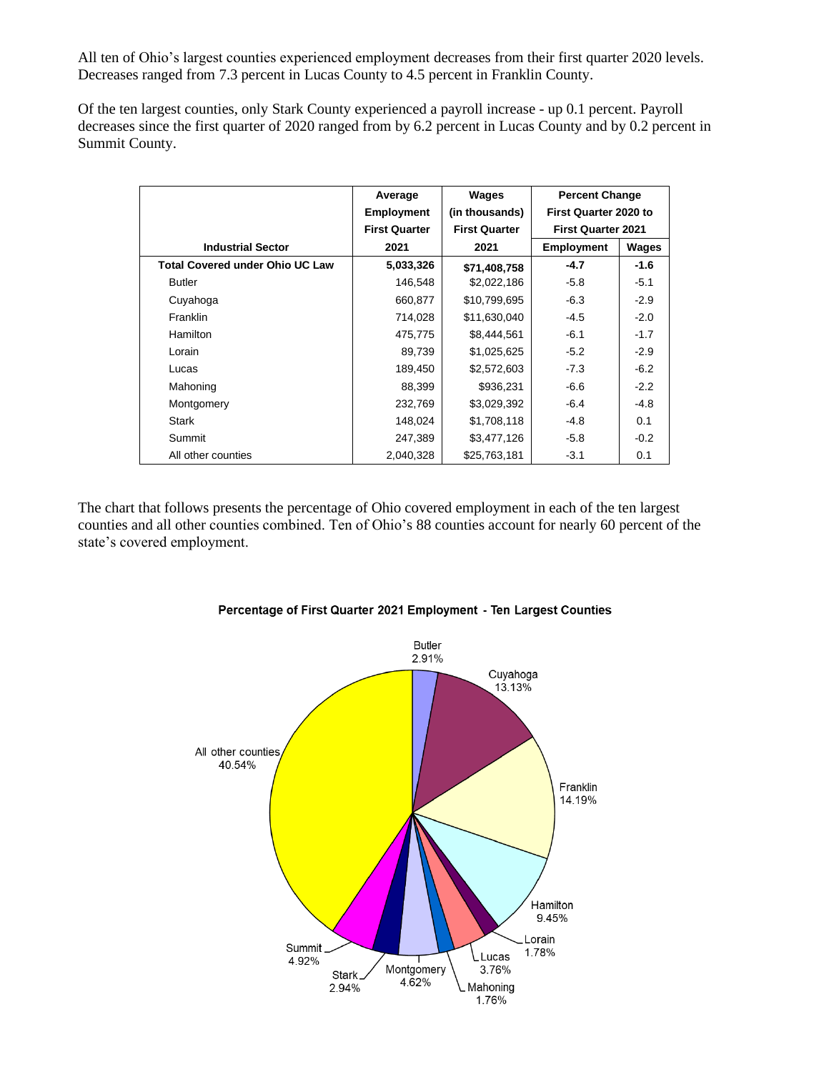All ten of Ohio's largest counties experienced employment decreases from their first quarter 2020 levels. Decreases ranged from 7.3 percent in Lucas County to 4.5 percent in Franklin County.

Of the ten largest counties, only Stark County experienced a payroll increase - up 0.1 percent. Payroll decreases since the first quarter of 2020 ranged from by 6.2 percent in Lucas County and by 0.2 percent in Summit County.

|                                        | Average              | Wages                | <b>Percent Change</b>     |        |
|----------------------------------------|----------------------|----------------------|---------------------------|--------|
|                                        | <b>Employment</b>    | (in thousands)       | First Quarter 2020 to     |        |
|                                        | <b>First Quarter</b> | <b>First Quarter</b> | <b>First Quarter 2021</b> |        |
| <b>Industrial Sector</b>               | 2021                 | 2021                 | <b>Employment</b>         | Wages  |
| <b>Total Covered under Ohio UC Law</b> | 5,033,326            | \$71,408,758         | $-4.7$                    | $-1.6$ |
| <b>Butler</b>                          | 146,548              | \$2,022,186          | $-5.8$                    | $-5.1$ |
| Cuyahoga                               | 660,877              | \$10,799,695         | $-6.3$                    | $-2.9$ |
| Franklin                               | 714,028              | \$11,630,040         | $-4.5$                    | $-2.0$ |
| Hamilton                               | 475,775              | \$8,444,561          | $-6.1$                    | $-1.7$ |
| Lorain                                 | 89,739               | \$1,025,625          | $-5.2$                    | $-2.9$ |
| Lucas                                  | 189,450              | \$2,572,603          | $-7.3$                    | $-6.2$ |
| Mahoning                               | 88,399               | \$936,231            | $-6.6$                    | $-2.2$ |
| Montgomery                             | 232,769              | \$3,029,392          | $-6.4$                    | $-4.8$ |
| <b>Stark</b>                           | 148,024              | \$1,708,118          | $-4.8$                    | 0.1    |
| Summit                                 | 247,389              | \$3,477,126          | $-5.8$                    | $-0.2$ |
| All other counties                     | 2,040,328            | \$25,763,181         | $-3.1$                    | 0.1    |

The chart that follows presents the percentage of Ohio covered employment in each of the ten largest counties and all other counties combined. Ten of Ohio's 88 counties account for nearly 60 percent of the state's covered employment.



## Percentage of First Quarter 2021 Employment - Ten Largest Counties